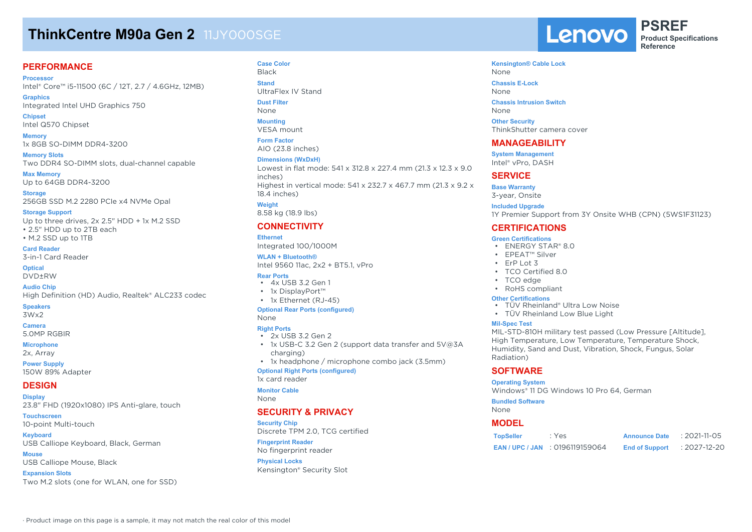# **ThinkCentre M90a Gen 2 11JY000SGE**

# **PERFORMANCE**

**Processor** Intel® Core™ i5-11500 (6C / 12T, 2.7 / 4.6GHz, 12MB)

**Graphics** Integrated Intel UHD Graphics 750

**Chipset** Intel Q570 Chipset

**Memory** 1x 8GB SO-DIMM DDR4-3200

**Memory Slots** Two DDR4 SO-DIMM slots, dual-channel capable

**Max Memory** Up to 64GB DDR4-3200

**Storage** 256GB SSD M.2 2280 PCIe x4 NVMe Opal

**Storage Support**

Up to three drives, 2x 2.5" HDD + 1x M.2 SSD • 2.5" HDD up to 2TB each • M.2 SSD up to 1TB

**Card Reader** 3-in-1 Card Reader

**Optical**

DVD±RW

**Audio Chip** High Definition (HD) Audio, Realtek® ALC233 codec

### **Speakers**

3Wx2

**Camera**

5.0MP RGBIR

**Microphone**

2x, Array **Power Supply**

150W 89% Adapter

# **DESIGN**

**Display** 23.8" FHD (1920x1080) IPS Anti-glare, touch

**Touchscreen** 10-point Multi-touch

**Keyboard** USB Calliope Keyboard, Black, German

**Mouse** USB Calliope Mouse, Black

**Expansion Slots** Two M.2 slots (one for WLAN, one for SSD)

**Case Color** Black **Stand** UltraFlex IV Stand

**Dust Filter** None

**Mounting**

VESA mount

**Form Factor** AIO (23.8 inches)

#### **Dimensions (WxDxH)**

Lowest in flat mode: 541 x 312.8 x 227.4 mm (21.3 x 12.3 x 9.0 inches) Highest in vertical mode: 541 x 232.7 x 467.7 mm (21.3 x 9.2 x 18.4 inches)

**Weight** 8.58 kg (18.9 lbs)

# **CONNECTIVITY**

**Ethernet** Integrated 100/1000M

**WLAN + Bluetooth®**

Intel 9560 11ac, 2x2 + BT5.1, vPro

## **Rear Ports**

- 4x USB 3.2 Gen 1 • 1x DisplayPort™
- 1x Ethernet (RJ-45)

#### **Optional Rear Ports (configured)** None

#### **Right Ports**

- 2x USB 3.2 Gen 2
- 1x USB-C 3.2 Gen 2 (support data transfer and 5V@3A charging)
- 1x headphone / microphone combo jack (3.5mm)

**Optional Right Ports (configured)**

1x card reader

**Monitor Cable**

None

### **SECURITY & PRIVACY**

**Security Chip** Discrete TPM 2.0, TCG certified **Fingerprint Reader** No fingerprint reader

**Physical Locks** Kensington® Security Slot Lenovo

**PSREF Product Specifications Reference**

# **Kensington® Cable Lock** None

**Chassis E-Lock** None

**Chassis Intrusion Switch** None

**Other Security** ThinkShutter camera cover

## **MANAGEABILITY**

**System Management** Intel® vPro, DASH

# **SERVICE**

**Base Warranty** 3-year, Onsite

#### **Included Upgrade**

1Y Premier Support from 3Y Onsite WHB (CPN) (5WS1F31123)

# **CERTIFICATIONS**

#### **Green Certifications**

- ENERGY STAR® 8.0
- EPEAT™ Silver
- ErP Lot 3
- TCO Certified 8.0
- TCO edge
- RoHS compliant

### **Other Certifications**

- TÜV Rheinland® Ultra Low Noise
- TÜV Rheinland Low Blue Light

#### **Mil-Spec Test**

MIL-STD-810H military test passed (Low Pressure [Altitude], High Temperature, Low Temperature, Temperature Shock, Humidity, Sand and Dust, Vibration, Shock, Fungus, Solar Radiation)

# **SOFTWARE**

### **Operating System**

Windows® 11 DG Windows 10 Pro 64, German

#### **Bundled Software**

None

# **MODEL**

| <b>TopSeller</b> | : Yes                             | <b>Announce Date</b>  | $: 2021 - 11 - 05$ |
|------------------|-----------------------------------|-----------------------|--------------------|
|                  | <b>EAN/UPC/JAN: 0196119159064</b> | <b>End of Support</b> | $: 2027 - 12 - 20$ |